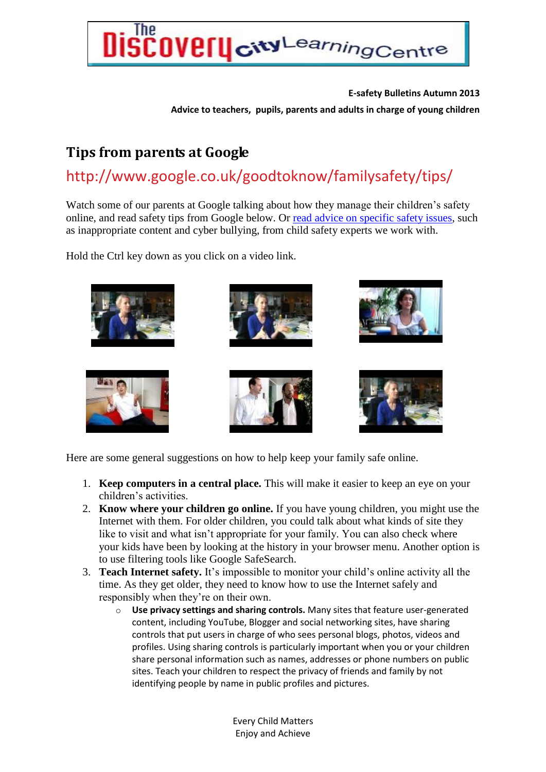

**E-safety Bulletins Autumn 2013 Advice to teachers, pupils, parents and adults in charge of young children** 

## **Tips from parents at Google**

## http://www.google.co.uk/goodtoknow/familysafety/tips/

Watch some of our parents at Google talking about how they manage their children's safety online, and read safety tips from Google below. Or [read advice on specific safety issues,](http://www.google.co.uk/goodtoknow/familysafety/advice/) such as inappropriate content and cyber bullying, from child safety experts we work with.

Hold the Ctrl key down as you click on a video link.



Here are some general suggestions on how to help keep your family safe online.

- 1. **Keep computers in a central place.** This will make it easier to keep an eye on your children's activities.
- 2. **Know where your children go online.** If you have young children, you might use the Internet with them. For older children, you could talk about what kinds of site they like to visit and what isn't appropriate for your family. You can also check where your kids have been by looking at the history in your browser menu. Another option is to use filtering tools like Google SafeSearch.
- 3. **Teach Internet safety.** It's impossible to monitor your child's online activity all the time. As they get older, they need to know how to use the Internet safely and responsibly when they're on their own.
	- o **Use privacy settings and sharing controls.** Many sites that feature user-generated content, including YouTube, Blogger and social networking sites, have sharing controls that put users in charge of who sees personal blogs, photos, videos and profiles. Using sharing controls is particularly important when you or your children share personal information such as names, addresses or phone numbers on public sites. Teach your children to respect the privacy of friends and family by not identifying people by name in public profiles and pictures.

Every Child Matters Enjoy and Achieve